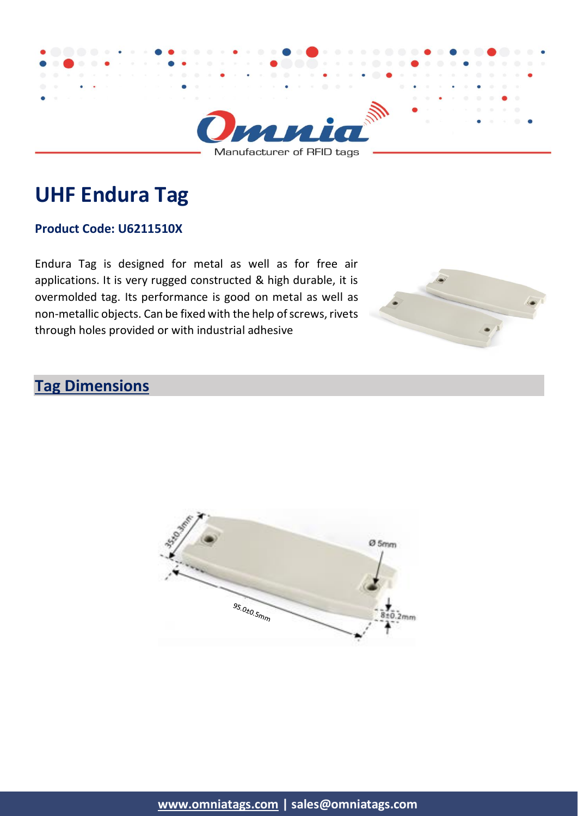

# **UHF Endura Tag**

#### **Product Code: U6211510X**

Endura Tag is designed for metal as well as for free air applications. It is very rugged constructed & high durable, it is overmolded tag. Its performance is good on metal as well as non-metallic objects. Can be fixed with the help of screws, rivets through holes provided or with industrial adhesive



# **Tag Dimensions**

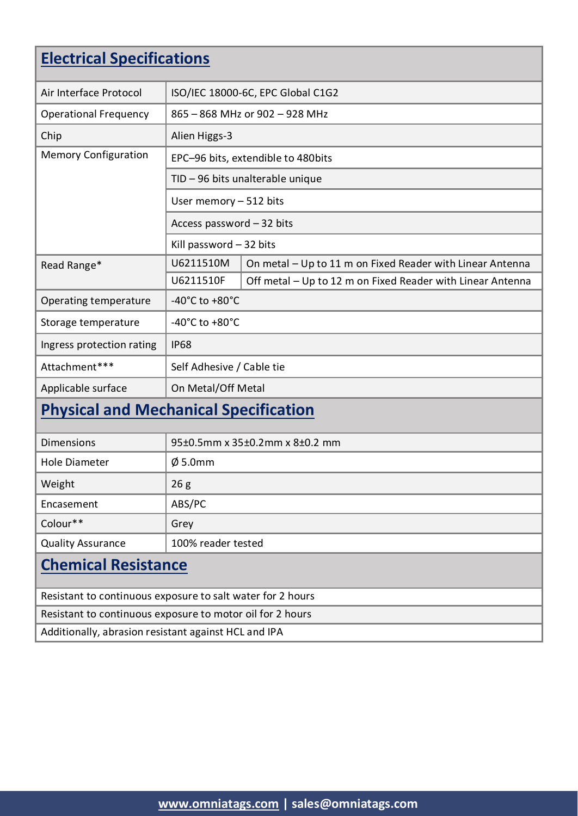| <b>Electrical Specifications</b>                           |                                      |                                                            |  |  |
|------------------------------------------------------------|--------------------------------------|------------------------------------------------------------|--|--|
| Air Interface Protocol                                     |                                      | ISO/IEC 18000-6C, EPC Global C1G2                          |  |  |
| <b>Operational Frequency</b>                               |                                      |                                                            |  |  |
|                                                            | 865 - 868 MHz or 902 - 928 MHz       |                                                            |  |  |
| Chip                                                       | Alien Higgs-3                        |                                                            |  |  |
| <b>Memory Configuration</b>                                | EPC-96 bits, extendible to 480bits   |                                                            |  |  |
|                                                            | $TID - 96$ bits unalterable unique   |                                                            |  |  |
|                                                            | User memory $-512$ bits              |                                                            |  |  |
|                                                            | Access password $-32$ bits           |                                                            |  |  |
|                                                            | Kill password $-32$ bits             |                                                            |  |  |
| Read Range*                                                | U6211510M                            | On metal - Up to 11 m on Fixed Reader with Linear Antenna  |  |  |
|                                                            | U6211510F                            | Off metal – Up to 12 m on Fixed Reader with Linear Antenna |  |  |
| Operating temperature                                      | -40°C to +80°C                       |                                                            |  |  |
| Storage temperature                                        | -40 $^{\circ}$ C to +80 $^{\circ}$ C |                                                            |  |  |
| Ingress protection rating                                  | <b>IP68</b>                          |                                                            |  |  |
| Attachment***                                              | Self Adhesive / Cable tie            |                                                            |  |  |
| Applicable surface                                         | On Metal/Off Metal                   |                                                            |  |  |
| <b>Physical and Mechanical Specification</b>               |                                      |                                                            |  |  |
| <b>Dimensions</b>                                          |                                      | 95±0.5mm x 35±0.2mm x 8±0.2 mm                             |  |  |
| <b>Hole Diameter</b>                                       | $\varnothing$ 5.0mm                  |                                                            |  |  |
| Weight                                                     | 26g                                  |                                                            |  |  |
| Encasement                                                 | ABS/PC                               |                                                            |  |  |
| Colour**                                                   | Grey                                 |                                                            |  |  |
| <b>Quality Assurance</b>                                   | 100% reader tested                   |                                                            |  |  |
| <b>Chemical Resistance</b>                                 |                                      |                                                            |  |  |
| Resistant to continuous exposure to salt water for 2 hours |                                      |                                                            |  |  |
| Resistant to continuous exposure to motor oil for 2 hours  |                                      |                                                            |  |  |
| Additionally, abrasion resistant against HCL and IPA       |                                      |                                                            |  |  |